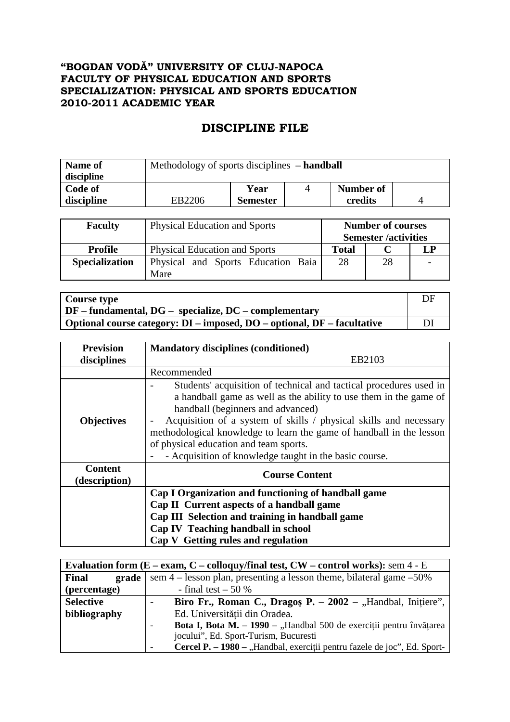## **"BOGDAN VODĂ" UNIVERSITY OF CLUJ-NAPOCA FACULTY OF PHYSICAL EDUCATION AND SPORTS SPECIALIZATION: PHYSICAL AND SPORTS EDUCATION 2010-2011 ACADEMIC YEAR**

## **DISCIPLINE FILE**

| <b>Name of</b> | Methodology of sports disciplines – handball |                 |  |           |  |
|----------------|----------------------------------------------|-----------------|--|-----------|--|
| discipline     |                                              |                 |  |           |  |
| Code of        |                                              | Year            |  | Number of |  |
| discipline     | EB2206                                       | <b>Semester</b> |  | credits   |  |

| <b>Faculty</b>        | <b>Physical Education and Sports</b>       |       | <b>Number of courses</b><br><b>Semester</b> /activities |  |
|-----------------------|--------------------------------------------|-------|---------------------------------------------------------|--|
| <b>Profile</b>        | <b>Physical Education and Sports</b>       | Total |                                                         |  |
| <b>Specialization</b> | Physical and Sports Education Baia<br>Mare | 28    | 28                                                      |  |

| <b>Course type</b>                                                      | DE |
|-------------------------------------------------------------------------|----|
| $\vert$ DF – fundamental, DG – specialize, DC – complementary           |    |
| Optional course category: DI – imposed, DO – optional, DF – facultative |    |

| <b>Prevision</b>                | <b>Mandatory disciplines (conditioned)</b>                                                                                                                                                                                                                                                                                                                                                                                                                    |
|---------------------------------|---------------------------------------------------------------------------------------------------------------------------------------------------------------------------------------------------------------------------------------------------------------------------------------------------------------------------------------------------------------------------------------------------------------------------------------------------------------|
| disciplines                     | EB2103                                                                                                                                                                                                                                                                                                                                                                                                                                                        |
|                                 | Recommended                                                                                                                                                                                                                                                                                                                                                                                                                                                   |
| <b>Objectives</b>               | Students' acquisition of technical and tactical procedures used in<br>a handball game as well as the ability to use them in the game of<br>handball (beginners and advanced)<br>Acquisition of a system of skills / physical skills and necessary<br>$\qquad \qquad \blacksquare$<br>methodological knowledge to learn the game of handball in the lesson<br>of physical education and team sports.<br>- Acquisition of knowledge taught in the basic course. |
| <b>Content</b><br>(description) | <b>Course Content</b>                                                                                                                                                                                                                                                                                                                                                                                                                                         |
|                                 | Cap I Organization and functioning of handball game<br>Cap II Current aspects of a handball game<br>Cap III Selection and training in handball game<br>Cap IV Teaching handball in school<br>Cap V Getting rules and regulation                                                                                                                                                                                                                               |

| Evaluation form $(E - e \text{xam}, C - \text{colloquy/final test}, CW - \text{control works})$ : sem 4 - E |                                                                                          |  |  |  |
|-------------------------------------------------------------------------------------------------------------|------------------------------------------------------------------------------------------|--|--|--|
| Final<br>grade                                                                                              | sem $4$ – lesson plan, presenting a lesson theme, bilateral game $-50\%$                 |  |  |  |
| (percentage)                                                                                                | - final test $-50\%$                                                                     |  |  |  |
| <b>Selective</b>                                                                                            | Biro Fr., Roman C., Dragos P. $-2002$ – "Handbal, Initiere",<br>$\overline{\phantom{0}}$ |  |  |  |
| bibliography                                                                                                | Ed. Universității din Oradea.                                                            |  |  |  |
|                                                                                                             | <b>Bota I, Bota M. – 1990 – "Handbal 500 de exerciții pentru învățarea</b>               |  |  |  |
|                                                                                                             | jocului", Ed. Sport-Turism, Bucuresti                                                    |  |  |  |
|                                                                                                             | Cercel P. – 1980 – "Handbal, exerciții pentru fazele de joc", Ed. Sport-                 |  |  |  |